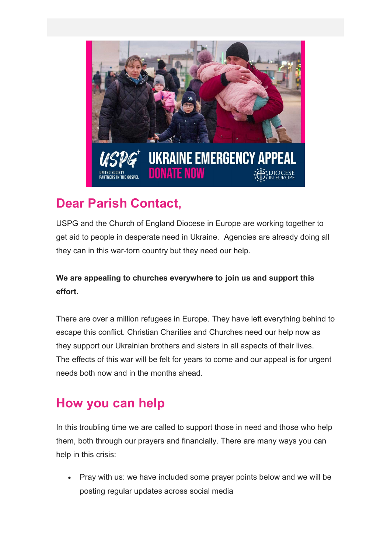

# **Dear Parish Contact,**

USPG and the Church of England Diocese in Europe are working together to get aid to people in desperate need in Ukraine. Agencies are already doing all they can in this war-torn country but they need our help.

#### **We are appealing to churches everywhere to join us and support this effort.**

There are over a million refugees in Europe. They have left everything behind to escape this conflict. Christian Charities and Churches need our help now as they support our Ukrainian brothers and sisters in all aspects of their lives. The effects of this war will be felt for years to come and our appeal is for urgent needs both now and in the months ahead.

## **How you can help**

In this troubling time we are called to support those in need and those who help them, both through our prayers and financially. There are many ways you can help in this crisis:

• Pray with us: we have included some prayer points below and we will be posting regular updates across social media